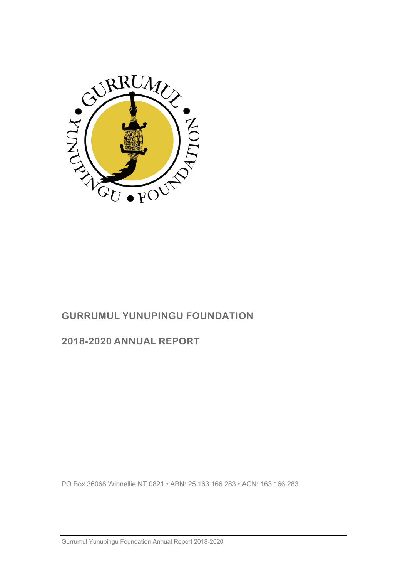

# **GURRUMUL YUNUPINGU FOUNDATION**

## **2018-2020 ANNUAL REPORT**

PO Box 36068 Winnellie NT 0821 • ABN: 25 163 166 283 • ACN: 163 166 283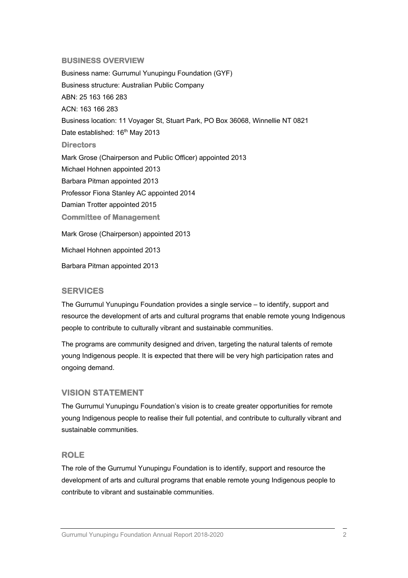#### **BUSINESS OVERVIEW**

Business name: Gurrumul Yunupingu Foundation (GYF) Business structure: Australian Public Company ABN: 25 163 166 283 ACN: 163 166 283 Business location: 11 Voyager St, Stuart Park, PO Box 36068, Winnellie NT 0821 Date established: 16<sup>th</sup> May 2013 **Directors**  Mark Grose (Chairperson and Public Officer) appointed 2013 Michael Hohnen appointed 2013 Barbara Pitman appointed 2013 Professor Fiona Stanley AC appointed 2014 Damian Trotter appointed 2015 **Committee of Management**  Mark Grose (Chairperson) appointed 2013 Michael Hohnen appointed 2013

Barbara Pitman appointed 2013

#### **SERVICES**

The Gurrumul Yunupingu Foundation provides a single service – to identify, support and resource the development of arts and cultural programs that enable remote young Indigenous people to contribute to culturally vibrant and sustainable communities.

The programs are community designed and driven, targeting the natural talents of remote young Indigenous people. It is expected that there will be very high participation rates and ongoing demand.

#### **VISION STATEMENT**

The Gurrumul Yunupingu Foundation's vision is to create greater opportunities for remote young Indigenous people to realise their full potential, and contribute to culturally vibrant and sustainable communities.

#### **ROLE**

The role of the Gurrumul Yunupingu Foundation is to identify, support and resource the development of arts and cultural programs that enable remote young Indigenous people to contribute to vibrant and sustainable communities.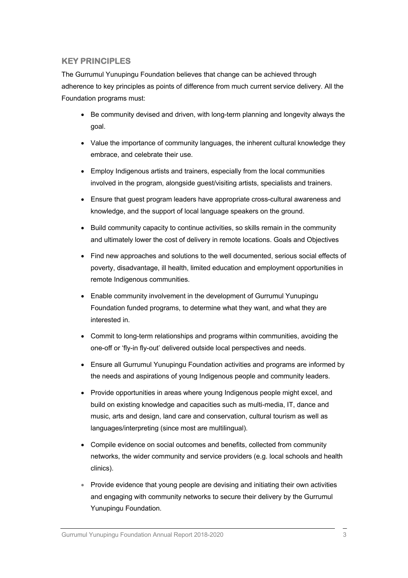## **KEY PRINCIPLES**

The Gurrumul Yunupingu Foundation believes that change can be achieved through adherence to key principles as points of difference from much current service delivery. All the Foundation programs must:

- Be community devised and driven, with long-term planning and longevity always the goal.
- Value the importance of community languages, the inherent cultural knowledge they embrace, and celebrate their use.
- Employ Indigenous artists and trainers, especially from the local communities involved in the program, alongside guest/visiting artists, specialists and trainers.
- Ensure that guest program leaders have appropriate cross-cultural awareness and knowledge, and the support of local language speakers on the ground.
- Build community capacity to continue activities, so skills remain in the community and ultimately lower the cost of delivery in remote locations. Goals and Objectives
- Find new approaches and solutions to the well documented, serious social effects of poverty, disadvantage, ill health, limited education and employment opportunities in remote Indigenous communities.
- Enable community involvement in the development of Gurrumul Yunupingu Foundation funded programs, to determine what they want, and what they are interested in.
- Commit to long-term relationships and programs within communities, avoiding the one-off or 'fly-in fly-out' delivered outside local perspectives and needs.
- Ensure all Gurrumul Yunupingu Foundation activities and programs are informed by the needs and aspirations of young Indigenous people and community leaders.
- Provide opportunities in areas where young Indigenous people might excel, and build on existing knowledge and capacities such as multi-media, IT, dance and music, arts and design, land care and conservation, cultural tourism as well as languages/interpreting (since most are multilingual).
- Compile evidence on social outcomes and benefits, collected from community networks, the wider community and service providers (e.g. local schools and health clinics).
- Provide evidence that young people are devising and initiating their own activities and engaging with community networks to secure their delivery by the Gurrumul Yunupingu Foundation.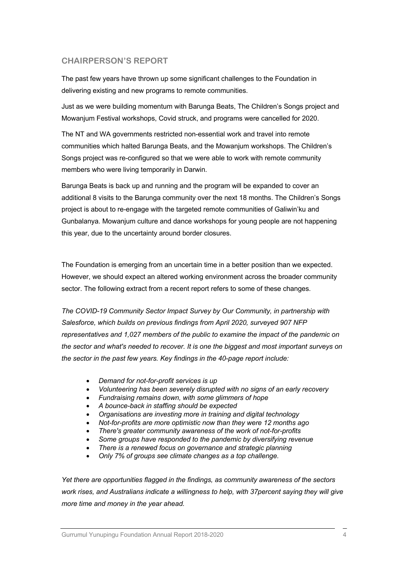## **CHAIRPERSON'S REPORT**

The past few years have thrown up some significant challenges to the Foundation in delivering existing and new programs to remote communities.

Just as we were building momentum with Barunga Beats, The Children's Songs project and Mowanjum Festival workshops, Covid struck, and programs were cancelled for 2020.

The NT and WA governments restricted non-essential work and travel into remote communities which halted Barunga Beats, and the Mowanjum workshops. The Children's Songs project was re-configured so that we were able to work with remote community members who were living temporarily in Darwin.

Barunga Beats is back up and running and the program will be expanded to cover an additional 8 visits to the Barunga community over the next 18 months. The Children's Songs project is about to re-engage with the targeted remote communities of Galiwin'ku and Gunbalanya. Mowanjum culture and dance workshops for young people are not happening this year, due to the uncertainty around border closures.

The Foundation is emerging from an uncertain time in a better position than we expected. However, we should expect an altered working environment across the broader community sector. The following extract from a recent report refers to some of these changes.

*The COVID-19 Community Sector Impact Survey by Our Community, in partnership with Salesforce, which builds on previous findings from April 2020, surveyed 907 NFP representatives and 1,027 members of the public to examine the impact of the pandemic on the sector and what's needed to recover. It is one the biggest and most important surveys on the sector in the past few years. Key findings in the 40-page report include:*

- *Demand for not-for-profit services is up*
- *Volunteering has been severely disrupted with no signs of an early recovery*
- *Fundraising remains down, with some glimmers of hope*
- *A bounce-back in staffing should be expected*
- *Organisations are investing more in training and digital technology*
- *Not-for-profits are more optimistic now than they were 12 months ago*
- *There's greater community awareness of the work of not-for-profits*
- *Some groups have responded to the pandemic by diversifying revenue*
- *There is a renewed focus on governance and strategic planning*
- *Only 7% of groups see climate changes as a top challenge.*

*Yet there are opportunities flagged in the findings, as community awareness of the sectors work rises, and Australians indicate a willingness to help, with 37percent saying they will give more time and money in the year ahead.*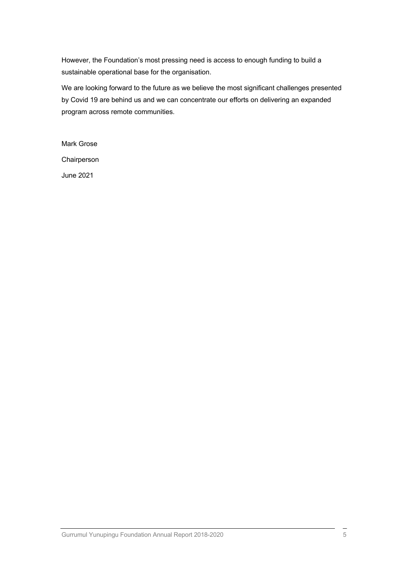However, the Foundation's most pressing need is access to enough funding to build a sustainable operational base for the organisation.

We are looking forward to the future as we believe the most significant challenges presented by Covid 19 are behind us and we can concentrate our efforts on delivering an expanded program across remote communities.

Mark Grose Chairperson June 2021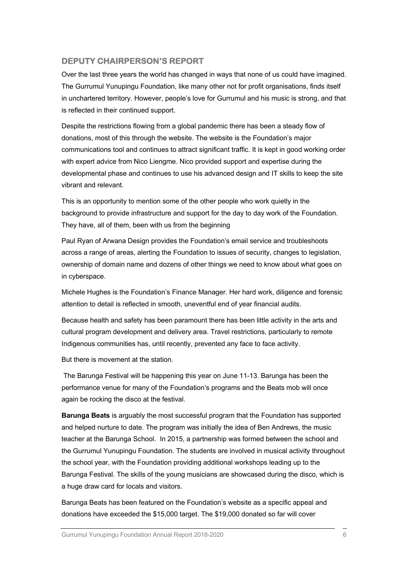## **DEPUTY CHAIRPERSON'S REPORT**

Over the last three years the world has changed in ways that none of us could have imagined. The Gurrumul Yunupingu Foundation, like many other not for profit organisations, finds itself in unchartered territory. However, people's love for Gurrumul and his music is strong, and that is reflected in their continued support.

Despite the restrictions flowing from a global pandemic there has been a steady flow of donations, most of this through the website. The website is the Foundation's major communications tool and continues to attract significant traffic. It is kept in good working order with expert advice from Nico Liengme. Nico provided support and expertise during the developmental phase and continues to use his advanced design and IT skills to keep the site vibrant and relevant.

This is an opportunity to mention some of the other people who work quietly in the background to provide infrastructure and support for the day to day work of the Foundation. They have, all of them, been with us from the beginning

Paul Ryan of Arwana Design provides the Foundation's email service and troubleshoots across a range of areas, alerting the Foundation to issues of security, changes to legislation, ownership of domain name and dozens of other things we need to know about what goes on in cyberspace.

Michele Hughes is the Foundation's Finance Manager. Her hard work, diligence and forensic attention to detail is reflected in smooth, uneventful end of year financial audits.

Because health and safety has been paramount there has been little activity in the arts and cultural program development and delivery area. Travel restrictions, particularly to remote Indigenous communities has, until recently, prevented any face to face activity.

But there is movement at the station.

The Barunga Festival will be happening this year on June 11-13. Barunga has been the performance venue for many of the Foundation's programs and the Beats mob will once again be rocking the disco at the festival.

**Barunga Beats** is arguably the most successful program that the Foundation has supported and helped nurture to date. The program was initially the idea of Ben Andrews, the music teacher at the Barunga School. In 2015, a partnership was formed between the school and the Gurrumul Yunupingu Foundation. The students are involved in musical activity throughout the school year, with the Foundation providing additional workshops leading up to the Barunga Festival. The skills of the young musicians are showcased during the disco, which is a huge draw card for locals and visitors.

Barunga Beats has been featured on the Foundation's website as a specific appeal and donations have exceeded the \$15,000 target. The \$19,000 donated so far will cover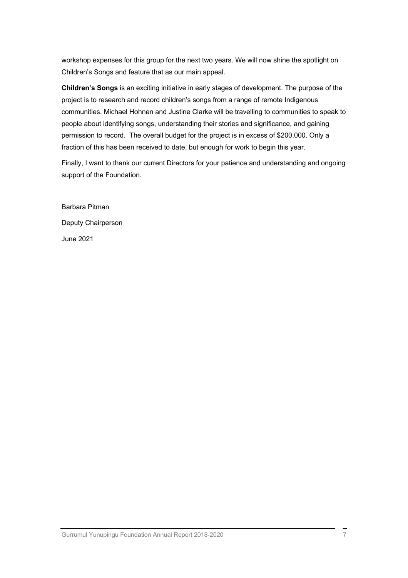workshop expenses for this group for the next two years. We will now shine the spotlight on Children's Songs and feature that as our main appeal.

**Children's Songs** is an exciting initiative in early stages of development. The purpose of the project is to research and record children's songs from a range of remote Indigenous communities. Michael Hohnen and Justine Clarke will be travelling to communities to speak to people about identifying songs, understanding their stories and significance, and gaining permission to record. The overall budget for the project is in excess of \$200,000. Only a fraction of this has been received to date, but enough for work to begin this year.

Finally, I want to thank our current Directors for your patience and understanding and ongoing support of the Foundation.

Barbara Pitman Deputy Chairperson June 2021